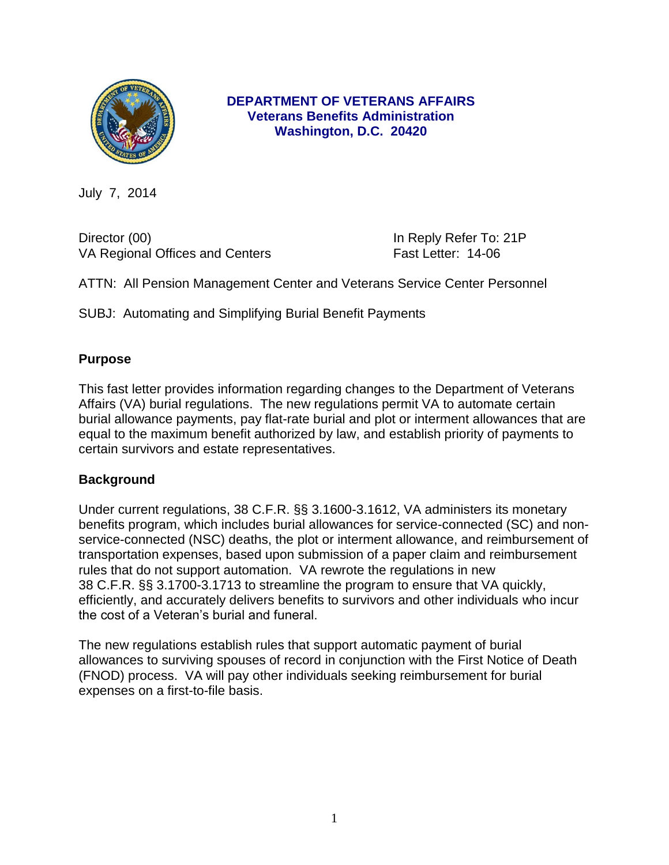

## **DEPARTMENT OF VETERANS AFFAIRS Veterans Benefits Administration Washington, D.C. 20420**

July 7, 2014

Director (00) **In Reply Refer To: 21P** VA Regional Offices and Centers Fast Letter: 14-06

ATTN: All Pension Management Center and Veterans Service Center Personnel

SUBJ: Automating and Simplifying Burial Benefit Payments

## **Purpose**

This fast letter provides information regarding changes to the Department of Veterans Affairs (VA) burial regulations. The new regulations permit VA to automate certain burial allowance payments, pay flat-rate burial and plot or interment allowances that are equal to the maximum benefit authorized by law, and establish priority of payments to certain survivors and estate representatives.

#### **Background**

Under current regulations, 38 C.F.R. §§ 3.1600-3.1612, VA administers its monetary benefits program, which includes burial allowances for service-connected (SC) and nonservice-connected (NSC) deaths, the plot or interment allowance, and reimbursement of transportation expenses, based upon submission of a paper claim and reimbursement rules that do not support automation. VA rewrote the regulations in new 38 C.F.R. §§ 3.1700-3.1713 to streamline the program to ensure that VA quickly, efficiently, and accurately delivers benefits to survivors and other individuals who incur the cost of a Veteran's burial and funeral.

The new regulations establish rules that support automatic payment of burial allowances to surviving spouses of record in conjunction with the First Notice of Death (FNOD) process. VA will pay other individuals seeking reimbursement for burial expenses on a first-to-file basis.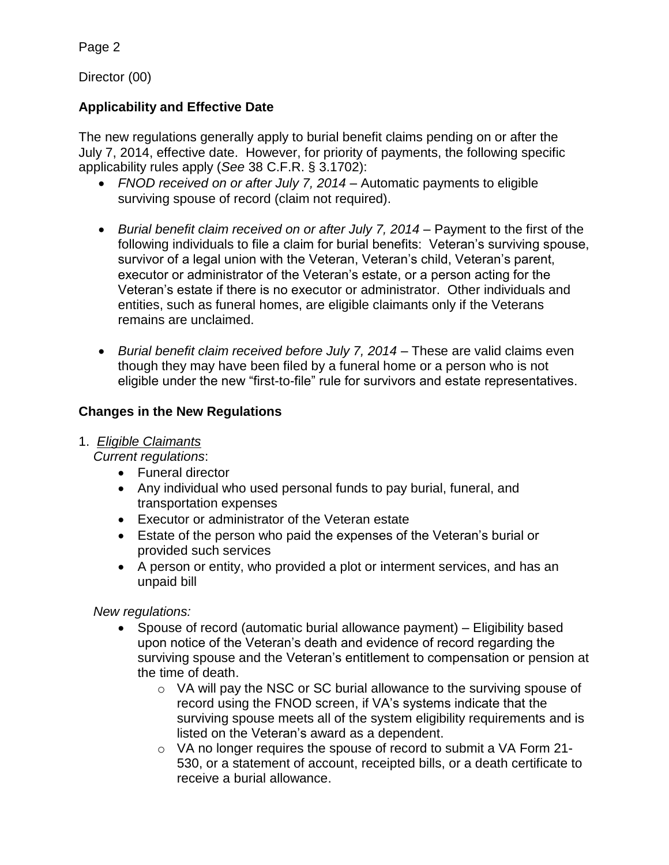Director (00)

## **Applicability and Effective Date**

The new regulations generally apply to burial benefit claims pending on or after the July 7, 2014, effective date. However, for priority of payments, the following specific applicability rules apply (*See* 38 C.F.R. § 3.1702):

- *FNOD received on or after July 7, 2014* Automatic payments to eligible surviving spouse of record (claim not required).
- *Burial benefit claim received on or after July 7, 2014* Payment to the first of the following individuals to file a claim for burial benefits: Veteran's surviving spouse, survivor of a legal union with the Veteran, Veteran's child, Veteran's parent, executor or administrator of the Veteran's estate, or a person acting for the Veteran's estate if there is no executor or administrator. Other individuals and entities, such as funeral homes, are eligible claimants only if the Veterans remains are unclaimed.
- *Burial benefit claim received before July 7, 2014* These are valid claims even though they may have been filed by a funeral home or a person who is not eligible under the new "first-to-file" rule for survivors and estate representatives.

## **Changes in the New Regulations**

## 1. *Eligible Claimants*

 *Current regulations*:

- Funeral director
- Any individual who used personal funds to pay burial, funeral, and transportation expenses
- Executor or administrator of the Veteran estate
- Estate of the person who paid the expenses of the Veteran's burial or provided such services
- A person or entity, who provided a plot or interment services, and has an unpaid bill

*New regulations:*

- Spouse of record (automatic burial allowance payment) Eligibility based upon notice of the Veteran's death and evidence of record regarding the surviving spouse and the Veteran's entitlement to compensation or pension at the time of death.
	- o VA will pay the NSC or SC burial allowance to the surviving spouse of record using the FNOD screen, if VA's systems indicate that the surviving spouse meets all of the system eligibility requirements and is listed on the Veteran's award as a dependent.
	- $\circ$  VA no longer requires the spouse of record to submit a VA Form 21-530, or a statement of account, receipted bills, or a death certificate to receive a burial allowance.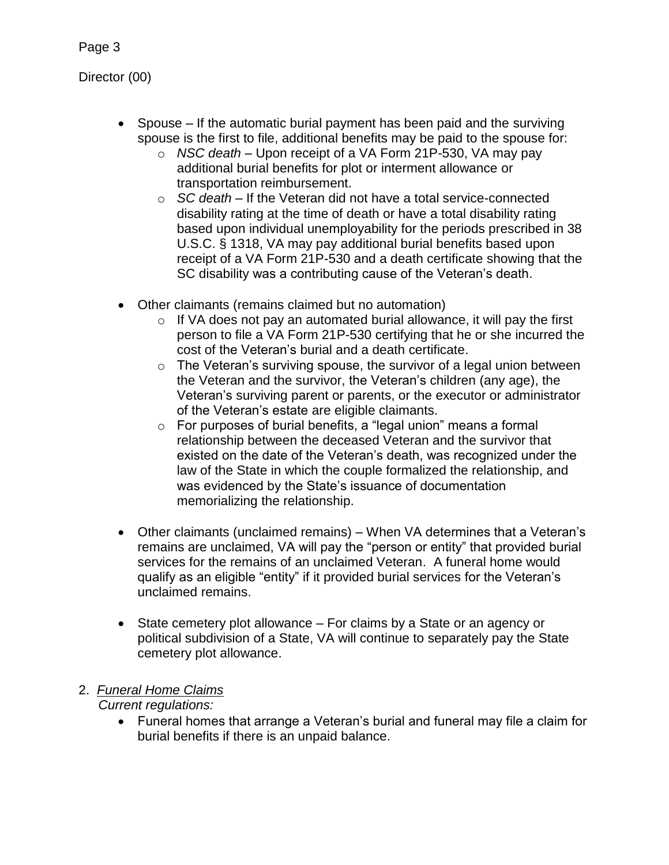Director (00)

- Spouse  $-$  If the automatic burial payment has been paid and the surviving spouse is the first to file, additional benefits may be paid to the spouse for:
	- o *NSC death* Upon receipt of a VA Form 21P-530, VA may pay additional burial benefits for plot or interment allowance or transportation reimbursement.
	- o *SC death* If the Veteran did not have a total service-connected disability rating at the time of death or have a total disability rating based upon individual unemployability for the periods prescribed in 38 U.S.C. § 1318, VA may pay additional burial benefits based upon receipt of a VA Form 21P-530 and a death certificate showing that the SC disability was a contributing cause of the Veteran's death.
- Other claimants (remains claimed but no automation)
	- $\circ$  If VA does not pay an automated burial allowance, it will pay the first person to file a VA Form 21P-530 certifying that he or she incurred the cost of the Veteran's burial and a death certificate.
	- $\circ$  The Veteran's surviving spouse, the survivor of a legal union between the Veteran and the survivor, the Veteran's children (any age), the Veteran's surviving parent or parents, or the executor or administrator of the Veteran's estate are eligible claimants.
	- o For purposes of burial benefits, a "legal union" means a formal relationship between the deceased Veteran and the survivor that existed on the date of the Veteran's death, was recognized under the law of the State in which the couple formalized the relationship, and was evidenced by the State's issuance of documentation memorializing the relationship.
- Other claimants (unclaimed remains) When VA determines that a Veteran's remains are unclaimed, VA will pay the "person or entity" that provided burial services for the remains of an unclaimed Veteran. A funeral home would qualify as an eligible "entity" if it provided burial services for the Veteran's unclaimed remains.
- State cemetery plot allowance For claims by a State or an agency or political subdivision of a State, VA will continue to separately pay the State cemetery plot allowance.

#### 2. *Funeral Home Claims Current regulations:*

 Funeral homes that arrange a Veteran's burial and funeral may file a claim for burial benefits if there is an unpaid balance.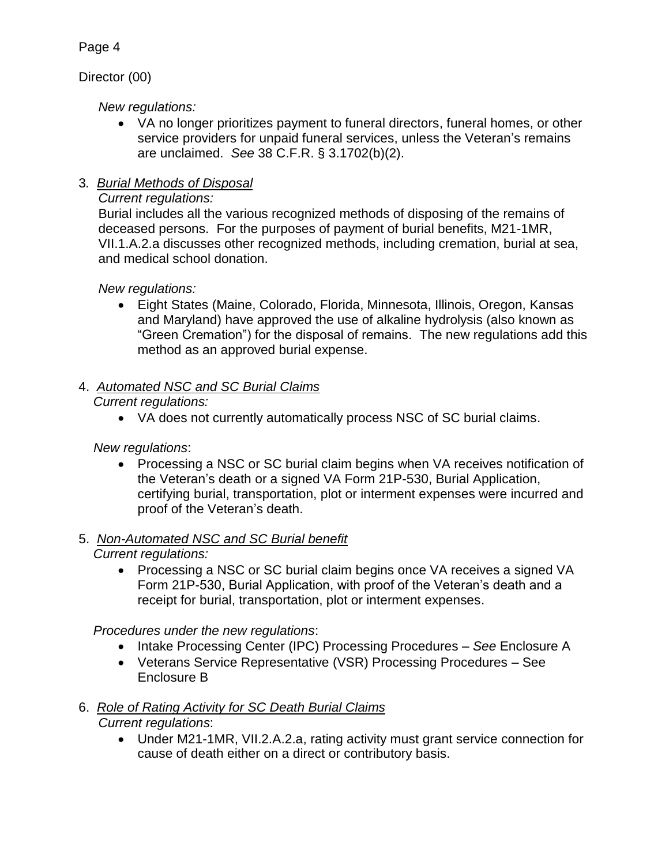## Director (00)

*New regulations:*

- VA no longer prioritizes payment to funeral directors, funeral homes, or other service providers for unpaid funeral services, unless the Veteran's remains are unclaimed. *See* 38 C.F.R. § 3.1702(b)(2).
- 3*. Burial Methods of Disposal*

## *Current regulations:*

Burial includes all the various recognized methods of disposing of the remains of deceased persons. For the purposes of payment of burial benefits, M21-1MR, VII.1.A.2.a discusses other recognized methods, including cremation, burial at sea, and medical school donation.

*New regulations:*

 Eight States (Maine, Colorado, Florida, Minnesota, Illinois, Oregon, Kansas and Maryland) have approved the use of alkaline hydrolysis (also known as "Green Cremation") for the disposal of remains. The new regulations add this method as an approved burial expense.

# 4. *Automated NSC and SC Burial Claims*

*Current regulations:*

VA does not currently automatically process NSC of SC burial claims.

*New regulations*:

• Processing a NSC or SC burial claim begins when VA receives notification of the Veteran's death or a signed VA Form 21P-530, Burial Application, certifying burial, transportation, plot or interment expenses were incurred and proof of the Veteran's death.

#### 5. *Non-Automated NSC and SC Burial benefit Current regulations:*

• Processing a NSC or SC burial claim begins once VA receives a signed VA Form 21P-530, Burial Application, with proof of the Veteran's death and a receipt for burial, transportation, plot or interment expenses.

 *Procedures under the new regulations*:

- Intake Processing Center (IPC) Processing Procedures See Enclosure A
- Veterans Service Representative (VSR) Processing Procedures See Enclosure B

# 6. *Role of Rating Activity for SC Death Burial Claims*

*Current regulations*:

 Under M21-1MR, VII.2.A.2.a, rating activity must grant service connection for cause of death either on a direct or contributory basis.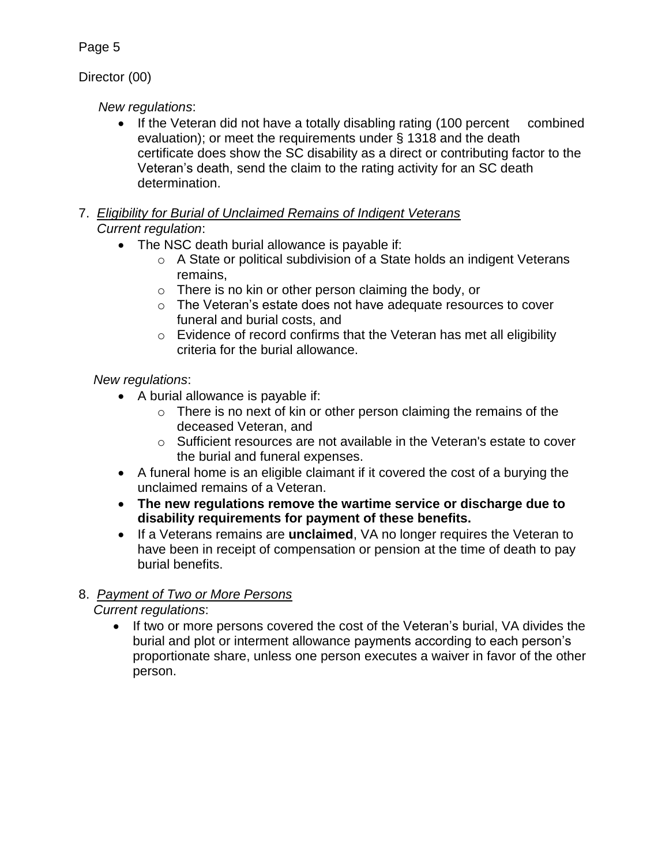## Director (00)

## *New regulations*:

- If the Veteran did not have a totally disabling rating (100 percent combined evaluation); or meet the requirements under § 1318 and the death certificate does show the SC disability as a direct or contributing factor to the Veteran's death, send the claim to the rating activity for an SC death determination.
- 7. *Eligibility for Burial of Unclaimed Remains of Indigent Veterans Current regulation*:
	- The NSC death burial allowance is payable if:
		- o A State or political subdivision of a State holds an indigent Veterans remains,
		- o There is no kin or other person claiming the body, or
		- o The Veteran's estate does not have adequate resources to cover funeral and burial costs, and
		- $\circ$  Evidence of record confirms that the Veteran has met all eligibility criteria for the burial allowance.

## *New regulations*:

- A burial allowance is payable if:
	- $\circ$  There is no next of kin or other person claiming the remains of the deceased Veteran, and
	- $\circ$  Sufficient resources are not available in the Veteran's estate to cover the burial and funeral expenses.
- A funeral home is an eligible claimant if it covered the cost of a burying the unclaimed remains of a Veteran.
- **The new regulations remove the wartime service or discharge due to disability requirements for payment of these benefits.**
- **If a Veterans remains are unclaimed**, VA no longer requires the Veteran to have been in receipt of compensation or pension at the time of death to pay burial benefits.

# 8. *Payment of Two or More Persons*

*Current regulations*:

• If two or more persons covered the cost of the Veteran's burial, VA divides the burial and plot or interment allowance payments according to each person's proportionate share, unless one person executes a waiver in favor of the other person.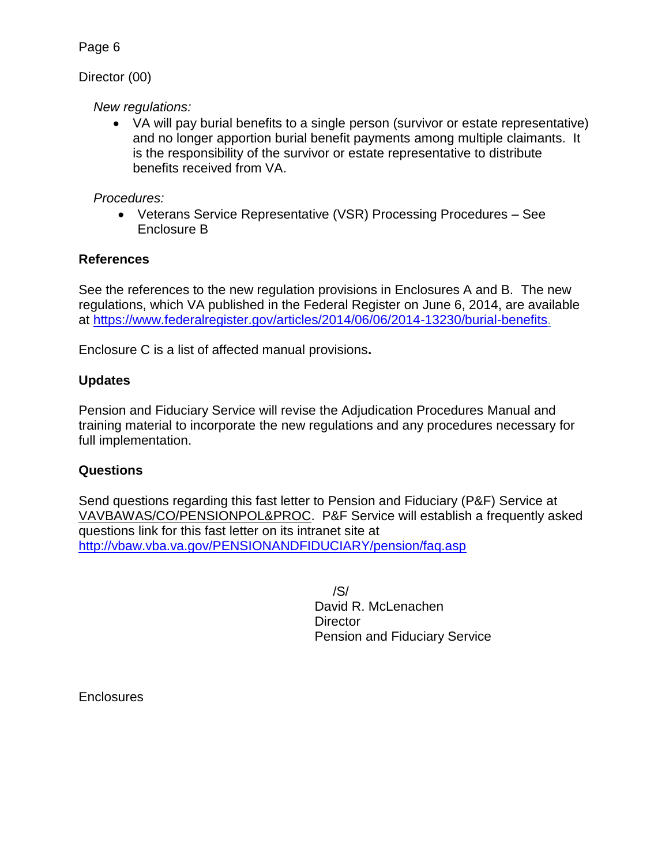#### Director (00)

#### *New regulations:*

 VA will pay burial benefits to a single person (survivor or estate representative) and no longer apportion burial benefit payments among multiple claimants. It is the responsibility of the survivor or estate representative to distribute benefits received from VA.

#### *Procedures:*

 Veterans Service Representative (VSR) Processing Procedures – See Enclosure B

## **References**

See the references to the new regulation provisions in Enclosures A and B. The new regulations, which VA published in the Federal Register on June 6, 2014, are available at [https://www.federalregister.gov/articles/2014/06/06/2014-13230/burial-benefits.](https://www.federalregister.gov/articles/2014/06/06/2014-13230/burial-benefits)

Enclosure C is a list of affected manual provisions**.** 

## **Updates**

Pension and Fiduciary Service will revise the Adjudication Procedures Manual and training material to incorporate the new regulations and any procedures necessary for full implementation.

## **Questions**

Send questions regarding this fast letter to Pension and Fiduciary (P&F) Service at VAVBAWAS/CO/PENSIONPOL&PROC. P&F Service will establish a frequently asked questions link for this fast letter on its intranet site at <http://vbaw.vba.va.gov/PENSIONANDFIDUCIARY/pension/faq.asp>

> /S/ David R. McLenachen **Director** Pension and Fiduciary Service

**Enclosures**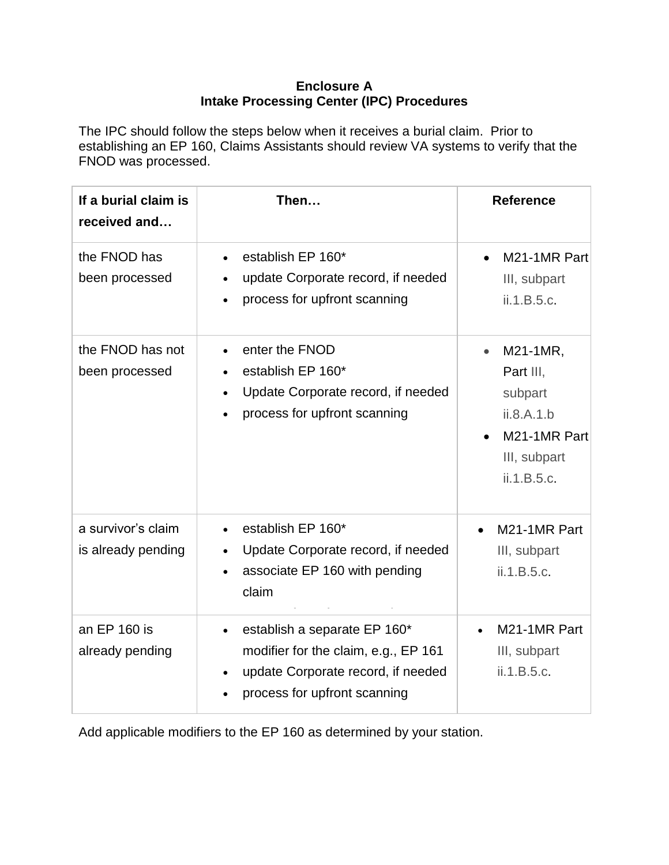#### **Enclosure A Intake Processing Center (IPC) Procedures**

The IPC should follow the steps below when it receives a burial claim. Prior to establishing an EP 160, Claims Assistants should review VA systems to verify that the FNOD was processed.

| If a burial claim is<br>received and     | Then                                                                                                                                       | <b>Reference</b>                                                                              |
|------------------------------------------|--------------------------------------------------------------------------------------------------------------------------------------------|-----------------------------------------------------------------------------------------------|
| the FNOD has<br>been processed           | establish EP 160*<br>$\bullet$<br>update Corporate record, if needed<br>process for upfront scanning<br>$\bullet$                          | M21-1MR Part<br>$\bullet$<br>III, subpart<br>ii.1.B.5.c.                                      |
| the FNOD has not<br>been processed       | enter the FNOD<br>establish EP 160*<br>$\bullet$<br>Update Corporate record, if needed<br>process for upfront scanning                     | M21-1MR,<br>Part III,<br>subpart<br>ii.8.A.1.b<br>M21-1MR Part<br>III, subpart<br>ii.1.B.5.c. |
| a survivor's claim<br>is already pending | establish EP 160*<br>Update Corporate record, if needed<br>associate EP 160 with pending<br>claim                                          | M21-1MR Part<br>III, subpart<br>ii.1.B.5.c.                                                   |
| an EP 160 is<br>already pending          | establish a separate EP 160*<br>modifier for the claim, e.g., EP 161<br>update Corporate record, if needed<br>process for upfront scanning | M21-1MR Part<br>III, subpart<br>ii.1.B.5.c.                                                   |

Add applicable modifiers to the EP 160 as determined by your station.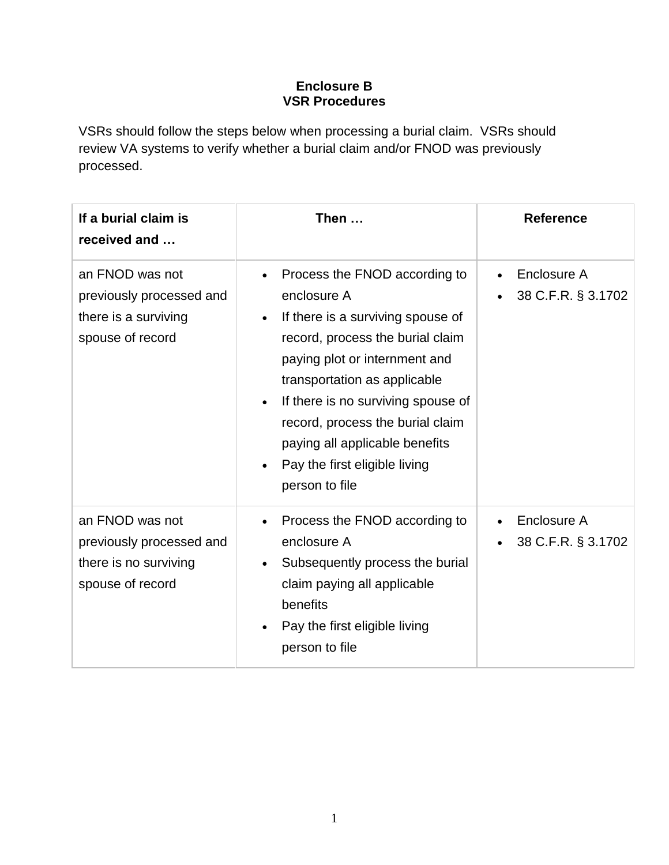#### **Enclosure B VSR Procedures**

VSRs should follow the steps below when processing a burial claim. VSRs should review VA systems to verify whether a burial claim and/or FNOD was previously processed.

| If a burial claim is<br>received and                                                     | Then $\dots$                                                                                                                                                                                                                                                                                                                                                       | <b>Reference</b>                  |
|------------------------------------------------------------------------------------------|--------------------------------------------------------------------------------------------------------------------------------------------------------------------------------------------------------------------------------------------------------------------------------------------------------------------------------------------------------------------|-----------------------------------|
| an FNOD was not<br>previously processed and<br>there is a surviving<br>spouse of record  | Process the FNOD according to<br>enclosure A<br>If there is a surviving spouse of<br>record, process the burial claim<br>paying plot or internment and<br>transportation as applicable<br>If there is no surviving spouse of<br>$\bullet$<br>record, process the burial claim<br>paying all applicable benefits<br>Pay the first eligible living<br>person to file | Enclosure A<br>38 C.F.R. § 3.1702 |
| an FNOD was not<br>previously processed and<br>there is no surviving<br>spouse of record | Process the FNOD according to<br>enclosure A<br>Subsequently process the burial<br>claim paying all applicable<br>benefits<br>Pay the first eligible living<br>person to file                                                                                                                                                                                      | Enclosure A<br>38 C.F.R. § 3.1702 |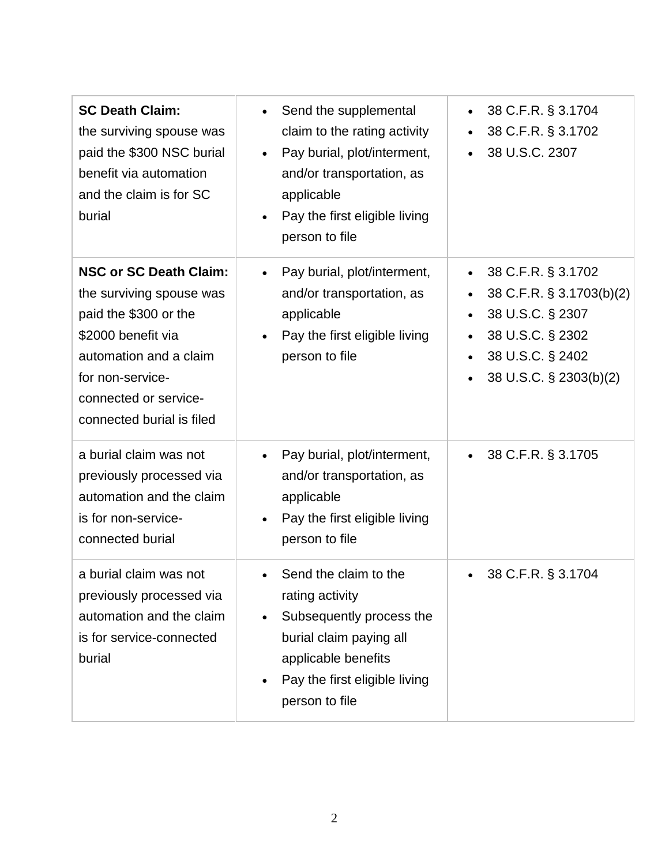| <b>SC Death Claim:</b><br>the surviving spouse was<br>paid the \$300 NSC burial<br>benefit via automation<br>and the claim is for SC<br>burial                                                               | Send the supplemental<br>$\bullet$<br>claim to the rating activity<br>Pay burial, plot/interment,<br>and/or transportation, as<br>applicable<br>Pay the first eligible living<br>$\bullet$<br>person to file | 38 C.F.R. § 3.1704<br>$\bullet$<br>38 C.F.R. § 3.1702<br>38 U.S.C. 2307                                                                                                                  |
|--------------------------------------------------------------------------------------------------------------------------------------------------------------------------------------------------------------|--------------------------------------------------------------------------------------------------------------------------------------------------------------------------------------------------------------|------------------------------------------------------------------------------------------------------------------------------------------------------------------------------------------|
| <b>NSC or SC Death Claim:</b><br>the surviving spouse was<br>paid the \$300 or the<br>\$2000 benefit via<br>automation and a claim<br>for non-service-<br>connected or service-<br>connected burial is filed | Pay burial, plot/interment,<br>and/or transportation, as<br>applicable<br>Pay the first eligible living<br>person to file                                                                                    | 38 C.F.R. § 3.1702<br>$\bullet$<br>38 C.F.R. § 3.1703(b)(2)<br>$\bullet$<br>38 U.S.C. § 2307<br>$\bullet$<br>38 U.S.C. § 2302<br>$\bullet$<br>38 U.S.C. § 2402<br>38 U.S.C. § 2303(b)(2) |
| a burial claim was not<br>previously processed via<br>automation and the claim<br>is for non-service-<br>connected burial                                                                                    | Pay burial, plot/interment,<br>and/or transportation, as<br>applicable<br>Pay the first eligible living<br>person to file                                                                                    | 38 C.F.R. § 3.1705                                                                                                                                                                       |
| a burial claim was not<br>previously processed via<br>automation and the claim<br>is for service-connected<br>burial                                                                                         | Send the claim to the<br>rating activity<br>Subsequently process the<br>burial claim paying all<br>applicable benefits<br>Pay the first eligible living<br>person to file                                    | 38 C.F.R. § 3.1704                                                                                                                                                                       |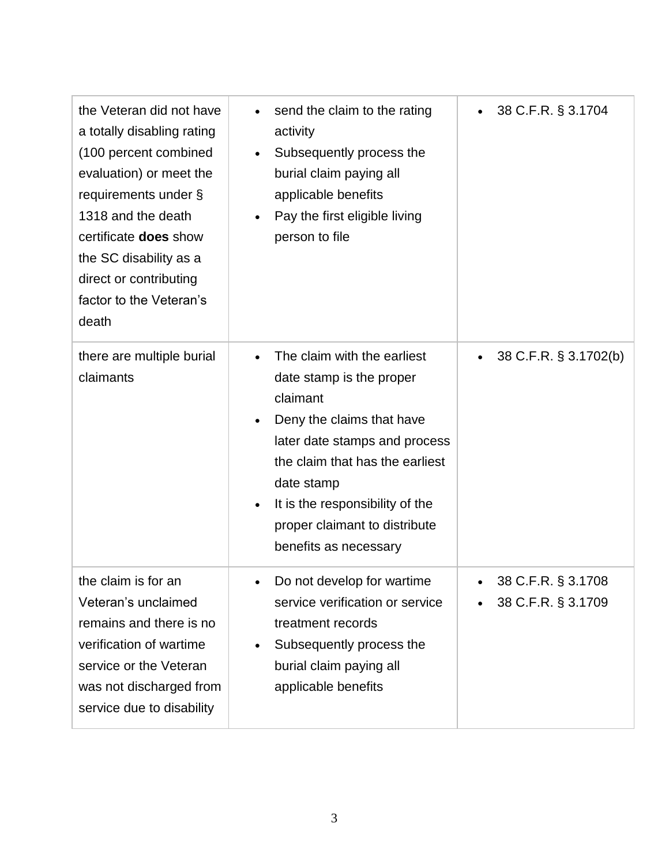| the Veteran did not have<br>a totally disabling rating<br>(100 percent combined<br>evaluation) or meet the<br>requirements under §<br>1318 and the death<br>certificate <b>does</b> show<br>the SC disability as a<br>direct or contributing<br>factor to the Veteran's<br>death | send the claim to the rating<br>$\bullet$<br>activity<br>Subsequently process the<br>$\bullet$<br>burial claim paying all<br>applicable benefits<br>Pay the first eligible living<br>$\bullet$<br>person to file                                                                                                       | 38 C.F.R. § 3.1704<br>$\bullet$          |
|----------------------------------------------------------------------------------------------------------------------------------------------------------------------------------------------------------------------------------------------------------------------------------|------------------------------------------------------------------------------------------------------------------------------------------------------------------------------------------------------------------------------------------------------------------------------------------------------------------------|------------------------------------------|
| there are multiple burial<br>claimants                                                                                                                                                                                                                                           | The claim with the earliest<br>$\bullet$<br>date stamp is the proper<br>claimant<br>Deny the claims that have<br>$\bullet$<br>later date stamps and process<br>the claim that has the earliest<br>date stamp<br>It is the responsibility of the<br>$\bullet$<br>proper claimant to distribute<br>benefits as necessary | 38 C.F.R. § 3.1702(b)<br>$\bullet$       |
| the claim is for an<br>Veteran's unclaimed<br>remains and there is no<br>verification of wartime<br>service or the Veteran<br>was not discharged from<br>service due to disability                                                                                               | Do not develop for wartime<br>service verification or service<br>treatment records<br>Subsequently process the<br>$\bullet$<br>burial claim paying all<br>applicable benefits                                                                                                                                          | 38 C.F.R. § 3.1708<br>38 C.F.R. § 3.1709 |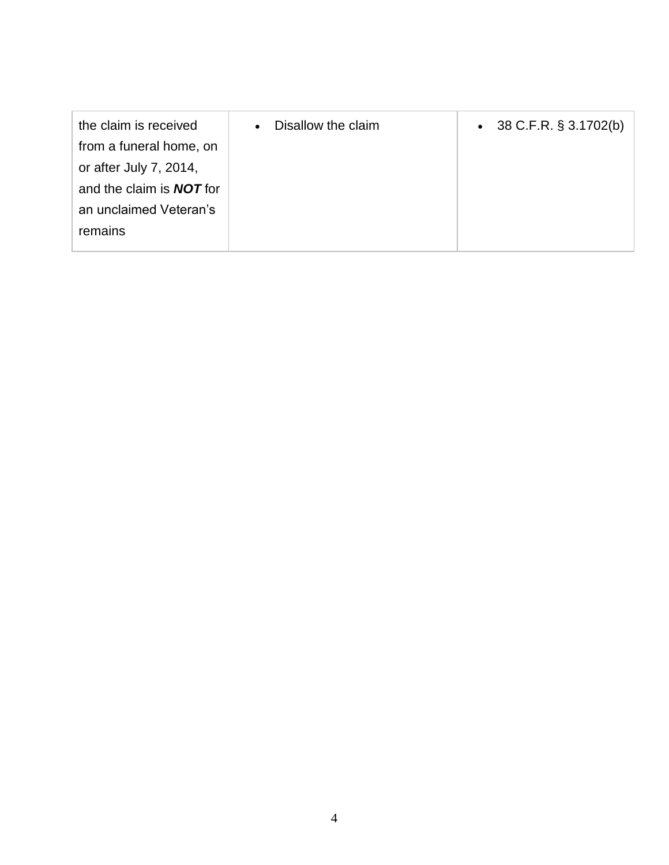| the claim is received           | Disallow the claim<br>$\bullet$ | 38 C.F.R. § 3.1702(b)<br>$\bullet$ |
|---------------------------------|---------------------------------|------------------------------------|
| from a funeral home, on         |                                 |                                    |
| or after July 7, 2014,          |                                 |                                    |
| and the claim is <b>NOT</b> for |                                 |                                    |
| an unclaimed Veteran's          |                                 |                                    |
| remains                         |                                 |                                    |
|                                 |                                 |                                    |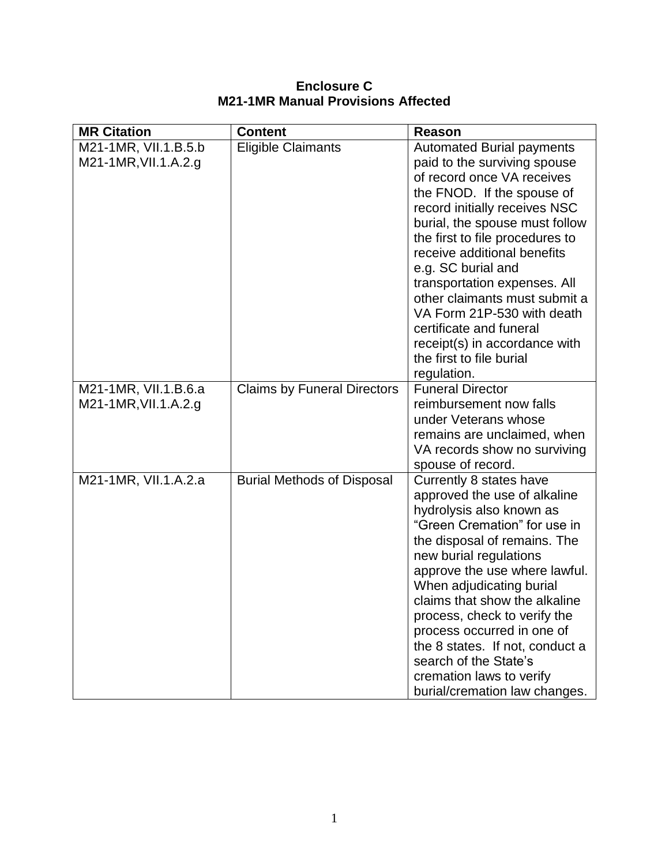| <b>Enclosure C</b>                        |  |  |
|-------------------------------------------|--|--|
| <b>M21-1MR Manual Provisions Affected</b> |  |  |

| <b>MR Citation</b>                           | <b>Content</b>                     | <b>Reason</b>                                                                                                                                                                                                                                                                                                                                                                                                                                                                                 |
|----------------------------------------------|------------------------------------|-----------------------------------------------------------------------------------------------------------------------------------------------------------------------------------------------------------------------------------------------------------------------------------------------------------------------------------------------------------------------------------------------------------------------------------------------------------------------------------------------|
| M21-1MR, VII.1.B.5.b<br>M21-1MR, VII.1.A.2.g | <b>Eligible Claimants</b>          | <b>Automated Burial payments</b><br>paid to the surviving spouse<br>of record once VA receives<br>the FNOD. If the spouse of<br>record initially receives NSC<br>burial, the spouse must follow<br>the first to file procedures to<br>receive additional benefits<br>e.g. SC burial and<br>transportation expenses. All<br>other claimants must submit a<br>VA Form 21P-530 with death<br>certificate and funeral<br>receipt(s) in accordance with<br>the first to file burial<br>regulation. |
| M21-1MR, VII.1.B.6.a<br>M21-1MR, VII.1.A.2.g | <b>Claims by Funeral Directors</b> | <b>Funeral Director</b><br>reimbursement now falls<br>under Veterans whose<br>remains are unclaimed, when<br>VA records show no surviving<br>spouse of record.                                                                                                                                                                                                                                                                                                                                |
| M21-1MR, VII.1.A.2.a                         | <b>Burial Methods of Disposal</b>  | Currently 8 states have<br>approved the use of alkaline<br>hydrolysis also known as<br>"Green Cremation" for use in<br>the disposal of remains. The<br>new burial regulations<br>approve the use where lawful.<br>When adjudicating burial<br>claims that show the alkaline<br>process, check to verify the<br>process occurred in one of<br>the 8 states. If not, conduct a<br>search of the State's<br>cremation laws to verify<br>burial/cremation law changes.                            |